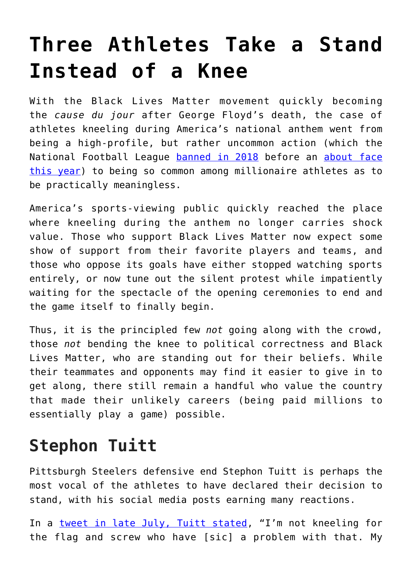## **[Three Athletes Take a Stand](https://intellectualtakeout.org/2020/08/three-athletes-take-a-stand-instead-of-a-knee/) [Instead of a Knee](https://intellectualtakeout.org/2020/08/three-athletes-take-a-stand-instead-of-a-knee/)**

With the Black Lives Matter movement quickly becoming the *cause du jour* after George Floyd's death, the case of athletes kneeling during America's national anthem went from being a high-profile, but rather uncommon action (which the National Football League [banned in 2018](https://www.cnbc.com/2018/05/23/nfl-bans-on-field-kneeling-during-the-national-anthem.html) before an [about face](https://www.npr.org/sections/live-updates-protests-for-racial-justice/2020/06/05/871290906/nfl-on-kneeling-players-protests-we-were-wrong-commissioner-says) [this year\)](https://www.npr.org/sections/live-updates-protests-for-racial-justice/2020/06/05/871290906/nfl-on-kneeling-players-protests-we-were-wrong-commissioner-says) to being so common among millionaire athletes as to be practically meaningless.

America's sports-viewing public quickly reached the place where kneeling during the anthem no longer carries shock value. Those who support Black Lives Matter now expect some show of support from their favorite players and teams, and those who oppose its goals have either stopped watching sports entirely, or now tune out the silent protest while impatiently waiting for the spectacle of the opening ceremonies to end and the game itself to finally begin.

Thus, it is the principled few *not* going along with the crowd, those *not* bending the knee to political correctness and Black Lives Matter, who are standing out for their beliefs. While their teammates and opponents may find it easier to give in to get along, there still remain a handful who value the country that made their unlikely careers (being paid millions to essentially play a game) possible.

## **Stephon Tuitt**

Pittsburgh Steelers defensive end Stephon Tuitt is perhaps the most vocal of the athletes to have declared their decision to stand, with his social media posts earning many reactions.

In a [tweet in late July, Tuitt stated](https://twitter.com/DOCnation_7/status/1287760493449555968), "I'm not kneeling for the flag and screw who have [sic] a problem with that. My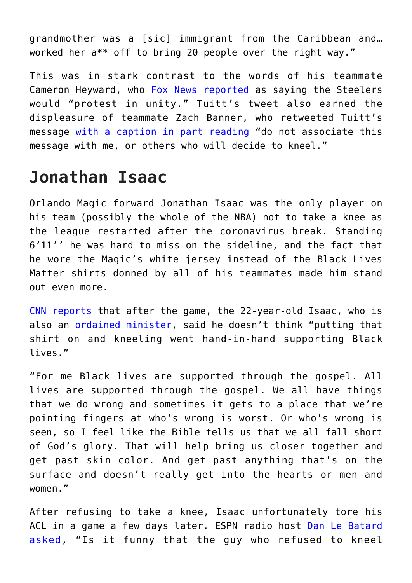grandmother was a [sic] immigrant from the Caribbean and… worked her a\*\* off to bring 20 people over the right way."

This was in stark contrast to the words of his teammate Cameron Heyward, who [Fox News reported](https://www.foxnews.com/sports/steelers-stephon-tuitt-stand-flag-proud-american) as saying the Steelers would "protest in unity." Tuitt's tweet also earned the displeasure of teammate Zach Banner, who retweeted Tuitt's message [with a caption in part reading](https://twitter.com/ZBNFL/status/1287811896893214726?ref_src=twsrc%5Etfw%7Ctwcamp%5Etweetembed%7Ctwterm%5E1287811896893214726%7Ctwgr%5E&ref_url=https%3A%2F%2Fheavy.com%2Fsports%2F2020%2F08%2Fsteelers-stephon-tuitt-remains-defiant-on-not-kneeling%2F) "do not associate this message with me, or others who will decide to kneel."

## **Jonathan Isaac**

Orlando Magic forward Jonathan Isaac was the only player on his team (possibly the whole of the NBA) not to take a knee as the league restarted after the coronavirus break. Standing 6'11'' he was hard to miss on the sideline, and the fact that he wore the Magic's white jersey instead of the Black Lives Matter shirts donned by all of his teammates made him stand out even more.

[CNN reports](https://www.cnn.com/2020/07/31/us/nba-magic-national-anthem-trnd/index.html) that after the game, the 22-year-old Isaac, who is also an [ordained minister](https://www.sportscasting.com/not-only-is-jonathan-isaac-an-nba-player-hes-also-an-ordained-minister/), said he doesn't think "putting that shirt on and kneeling went hand-in-hand supporting Black lives."

"For me Black lives are supported through the gospel. All lives are supported through the gospel. We all have things that we do wrong and sometimes it gets to a place that we're pointing fingers at who's wrong is worst. Or who's wrong is seen, so I feel like the Bible tells us that we all fall short of God's glory. That will help bring us closer together and get past skin color. And get past anything that's on the surface and doesn't really get into the hearts or men and women."

After refusing to take a knee, Isaac unfortunately tore his ACL in a game a few days later. ESPN radio host [Dan Le Batard](https://www.foxnews.com/media/espn-le-batard-anthem-poll-jonathan-isaac) [asked,](https://www.foxnews.com/media/espn-le-batard-anthem-poll-jonathan-isaac) "Is it funny that the guy who refused to kneel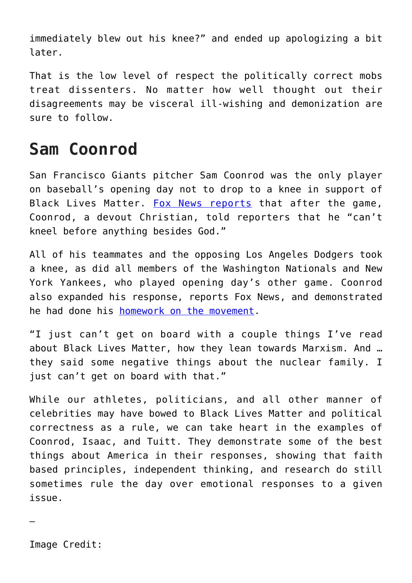immediately blew out his knee?" and ended up apologizing a bit later.

That is the low level of respect the politically correct mobs treat dissenters. No matter how well thought out their disagreements may be visceral ill-wishing and demonization are sure to follow.

## **Sam Coonrod**

San Francisco Giants pitcher Sam Coonrod was the only player on baseball's opening day not to drop to a knee in support of Black Lives Matter. [Fox News reports](https://www.foxnews.com/sports/giants-sam-coonrod-kneel-black-lives-matter-faith-christian) that after the game, Coonrod, a devout Christian, told reporters that he "can't kneel before anything besides God."

All of his teammates and the opposing Los Angeles Dodgers took a knee, as did all members of the Washington Nationals and New York Yankees, who played opening day's other game. Coonrod also expanded his response, reports Fox News, and demonstrated he had done his [homework on the movement.](https://www.intellectualtakeout.org/behind-the-masks-marxism-and-black-lives-matter/)

"I just can't get on board with a couple things I've read about Black Lives Matter, how they lean towards Marxism. And … they said some negative things about the nuclear family. I just can't get on board with that."

While our athletes, politicians, and all other manner of celebrities may have bowed to Black Lives Matter and political correctness as a rule, we can take heart in the examples of Coonrod, Isaac, and Tuitt. They demonstrate some of the best things about America in their responses, showing that faith based principles, independent thinking, and research do still sometimes rule the day over emotional responses to a given issue.

Image Credit:

—